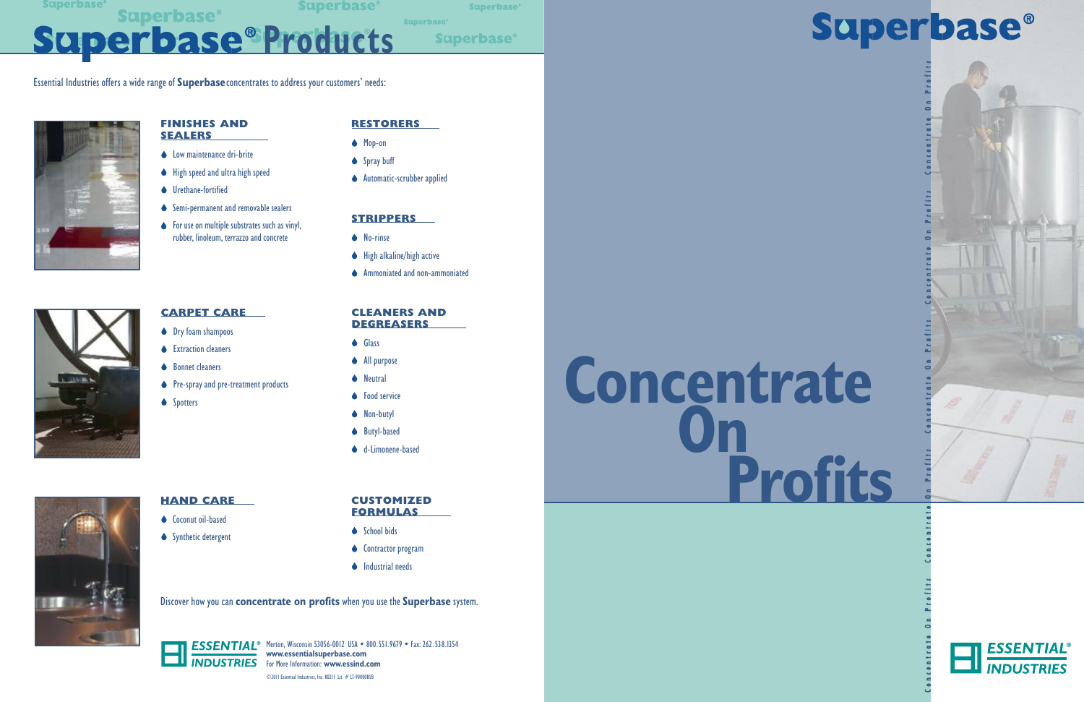**Superbase** 

**Superbase** 

**Superbase**<sup>®</sup>

**Superbase®** 

**Superbase**<sup>®</sup>

**Superbase®** Superbase<sup>®</sup>Products

# **Concentrate On Profits**

## **Superbase®**

Concentrate On Profits Concentrate On Profits Concentrate Concentrate Concentrate Concentrate Profits

 $\blacksquare$ 



### **RESTORERS**

- ◆ Mop-on
- ◆ Spray buff
- **Automatic-scrubber applied**

#### **STRIPPERS**

- **◆** No-rinse
- $\blacklozenge$  High alkaline/high active
- **◆** Ammoniated and non-ammoniated

### **CARPET CARE**

- **Ory foam shampoos**
- **▲** Extraction cleaners
- **▲** Bonnet cleaners
- ◆ Pre-spray and pre-treatment products
- **◆** Spotters

#### **FINISHES AND SEALERS**

- **Commaintenance dri-brite**
- $\blacklozenge$  High speed and ultra high speed
- **▲** Urethane-fortified
- Semi-permanent and removable sealers
- $\bullet$  For use on multiple substrates such as vinyl, rubber, linoleum, terrazzo and concrete

ESSENTIAL<sup>®</sup> Merton, Wisconsin 53056-0012 USA • 800.551.9679 • Fax: 262.538.1354 **www.essentialsuperbase.com** For More Information: **www.essind.com** ©2011 Essential Industries, Inc. K0211 Lit. # LT-90000BSB

#### **CLEANERS AND DEGREASERS**

- **Glass**
- ◆ All purpose
- **◆** Neutral
- **◆** Food service
- ◆ Non-butyl
- **▲** Butyl-based
- **↓** d-Limonene-based



### **HAND CARE**

- Coconut oil-based
- $\bullet$  Synthetic detergent

Essential Industries offers a wide range of **Superbase**concentrates to address your customers' needs:



Discover how you can **concentrate on profits** when you use the **Superbase** system.



#### **CUSTOMIZED FORMULAS**

- **◆** School bids
- **◆** Contractor program
- $\bullet$  Industrial needs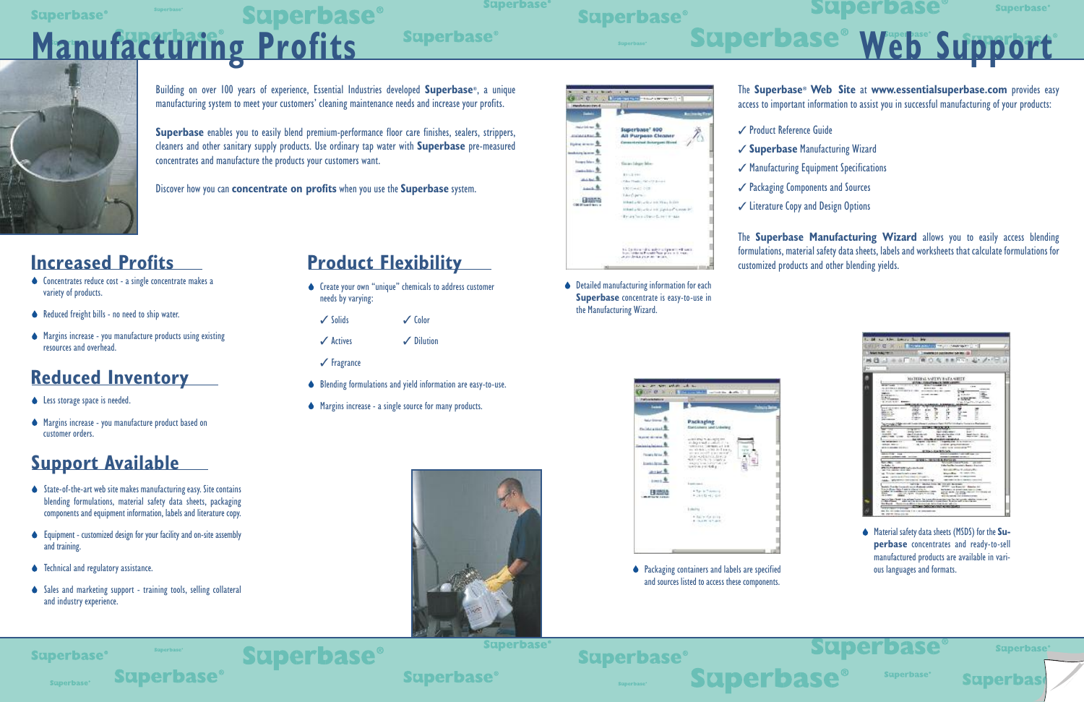### **Product Flexibility**

- Create your own "unique" chemicals to address customer needs by varying:
	- $\sqrt{\phantom{a}}$  Solids  $\sqrt{\phantom{a}}$  Color
	- **△** Actives 2 Dilution
	- $\checkmark$  Fragrance

**Superbase®** 

- Blending formulations and yield information are easy-to-use.
- Margins increase a single source for many products.



- ◆ Concentrates reduce cost a single concentrate makes a variety of products.
- ◆ Reduced freight bills no need to ship water.
- Margins increase you manufacture products using existing resources and overhead.

### **Increased Profits**

- **↓** Less storage space is needed.
- Margins increase you manufacture product based on customer orders.

### **Reduced Inventory**

- $\bullet$  State-of-the-art web site makes manufacturing easy. Site contains blending formulations, material safety data sheets, packaging components and equipment information, labels and literature copy.
- $\bullet$  Equipment customized design for your facility and on-site assembly and training.
- **◆** Technical and regulatory assistance.
- ◆ Sales and marketing support training tools, selling collateral and industry experience.

### **Support Available**

 $\blacklozenge$  Detailed manufacturing information for each **Superbase** concentrate is easy-to-use in the Manufacturing Wizard.



◆ Packaging containers and labels are specified and sources listed to access these components.



**Superbase®** 

**Superbase**<sup>®</sup>

### **Superbase®**

**Superbase** 

**Superbase® Superbase®** 

**◆** Material safety data sheets (MSDS) for the Su**perbase** concentrates and ready-to-sell manufactured products are available in various languages and formats.

**Superbase** 

**Superbas** 



#### **Superbase**<sup>®</sup>

## **Superbase® Manufacturing Profits**

**Superbase** 

**Superbase®** 

## **Superbase®**



The **Superbase® Web Site** at **www.essentialsuperbase.com** provides easy access to important information to assist you in successful manufacturing of your products:

- **√ Product Reference Guide**
- 3 **Superbase** Manufacturing Wizard
- $\checkmark$  Manufacturing Equipment Specifications
- **√ Packaging Components and Sources**
- $\checkmark$  Literature Copy and Design Options

The **Superbase Manufacturing Wizard** allows you to easily access blending formulations, material safety data sheets, labels and worksheets that calculate formulations for customized products and other blending yields.

|                                                        | a 40 year toler. Denver the line                                                                                                                                                                                                                                    |  |
|--------------------------------------------------------|---------------------------------------------------------------------------------------------------------------------------------------------------------------------------------------------------------------------------------------------------------------------|--|
|                                                        | 11   STARTHOUSE - COMMISSION<br>$\rightarrow$                                                                                                                                                                                                                       |  |
|                                                        |                                                                                                                                                                                                                                                                     |  |
| TRANSMISS ON DISTURBANCE CAR RELL LES<br>畔<br>PR.70128 |                                                                                                                                                                                                                                                                     |  |
|                                                        |                                                                                                                                                                                                                                                                     |  |
| w                                                      |                                                                                                                                                                                                                                                                     |  |
|                                                        |                                                                                                                                                                                                                                                                     |  |
|                                                        | <b>HERRIS SMITS BY A SHIFT</b>                                                                                                                                                                                                                                      |  |
|                                                        |                                                                                                                                                                                                                                                                     |  |
|                                                        | <b>Seattle</b><br>----<br>19.99<br>An Artistics & closer<br>-----<br>-<br>.                                                                                                                                                                                         |  |
|                                                        | A-31 A-14 100 \$1.15<br><b><i>PERSONAL PROPERTY AND</i></b><br>≖<br>                                                                                                                                                                                                |  |
|                                                        | <b>SALE</b><br><b>CONTRACTOR</b><br>a times<br><b>Business excess that they</b><br>- 44<br><b>Schlauss</b>                                                                                                                                                          |  |
|                                                        | e totale<br>a price wide. Measure<br>State Marchton Materials                                                                                                                                                                                                       |  |
|                                                        | <b><i><u>ARMANI</u></i></b><br>بمنتفيتين                                                                                                                                                                                                                            |  |
|                                                        | <b>RECEIVED HIM</b><br><b>FROM</b><br>ú<br>##<br>---                                                                                                                                                                                                                |  |
|                                                        | m<br>π<br>≖<br><b>Belleville, Inc.</b><br>-<br><b>STATISTICS</b><br><br>                                                                                                                                                                                            |  |
|                                                        | <b>ALCOHOL:</b><br><b><i><u>STARTING</u></i></b><br><br><br>$-$<br><b>CONTRACTOR</b><br>$-1$<br><b>CONTRACTOR</b>                                                                                                                                                   |  |
|                                                        | <b>Lifty Limited a Series and Barbara</b><br><b>Northeast Children</b><br><b><i>Contractor Committee Committee Committee Committee Committee Committee Committee Committee Committee Committee</i></b><br>×                                                         |  |
|                                                        | -----<br><b>All Control</b>                                                                                                                                                                                                                                         |  |
|                                                        | <b>Security</b><br><b>Ingel Long classes</b><br><b>Brown College</b><br>$-$<br><b>Available first</b><br>dealer for the selection and<br>how when he show this is<br>beautiful and the state of the                                                                 |  |
|                                                        | <b>CONTRACTOR DE LOS CONTRACTORIES</b><br><b>HEATLE IN</b><br><b>MAILWOOD</b> CARE<br>MOTOR CALL AND SCALE<br>EALTER LISTEN BE APPEARED HEREIN ALL                                                                                                                  |  |
|                                                        | --------<br><b>English concerns a support your or in concerns as</b><br><b>MAGA MAYOR</b><br>COM RALL STORY<br>crock presentation                                                                                                                                   |  |
|                                                        | a said look assumpting the<br><b>M-R-A Governor (2010)</b> /                                                                                                                                                                                                        |  |
|                                                        | to 1. In as famy turn<br>144                                                                                                                                                                                                                                        |  |
|                                                        |                                                                                                                                                                                                                                                                     |  |
|                                                        | œ                                                                                                                                                                                                                                                                   |  |
|                                                        | <b>Latin St</b><br>de la la brain i control de<br><b>PECULARED STOCK Colorado Installa</b>                                                                                                                                                                          |  |
|                                                        | <b>Manufacturers</b> and a series of the<br>an Transmission and the                                                                                                                                                                                                 |  |
|                                                        | Married Rose. 17 1993 (1993)<br>at Thicket excitated a new bit-<br><b>CONTRACTOR</b> CONTRACTOR<br>THE CHANNEL PROTECTIVE CONTROL                                                                                                                                   |  |
|                                                        | LAA. We want in case of to see only!<br>and contact the first in the de-                                                                                                                                                                                            |  |
|                                                        | the state line<br><b>Colorado Marco Mario</b>                                                                                                                                                                                                                       |  |
|                                                        | STOT Law Rows In 1 Selected Art<br>in the interface the company's transit and advance marketing<br>Tractic Form Date I wants where the fir-<br>by bright or to bring it may be controlled                                                                           |  |
|                                                        | a mine interesting contract a components of<br><b>TOTAL AND UNDER WORLD SHOWWHO</b><br><b>Branch</b><br>Leasing Agent Holyman could<br>as a ready<br><b>CARD CO</b>                                                                                                 |  |
|                                                        | Box on special control entering<br>begin bereiten West in der seines Treisen der Lewis als der entflechen für der Fernstalt aufgeben wieder und d<br>Erste Antonio der Erste der Erste der Erste der Erste der Erste der Erste der Erste der Erste der Erste der Er |  |
|                                                        | but Band - Daniel Las Bitter in Angelad, faith Fort Schried alle lin                                                                                                                                                                                                |  |
|                                                        | <b>CONTRACTOR IN STREET</b>                                                                                                                                                                                                                                         |  |
|                                                        | be the antipological and it is a selectional con-<br>M. Our on clean paints.                                                                                                                                                                                        |  |
|                                                        |                                                                                                                                                                                                                                                                     |  |



Building on over 100 years of experience, Essential Industries developed **Superbase®**, a unique manufacturing system to meet your customers' cleaning maintenance needs and increase your profits.

**Superbase** enables you to easily blend premium-performance floor care finishes, sealers, strippers, cleaners and other sanitary supply products. Use ordinary tap water with **Superbase** pre-measured concentrates and manufacture the products your customers want.

Discover how you can **concentrate on profits** when you use the **Superbase** system.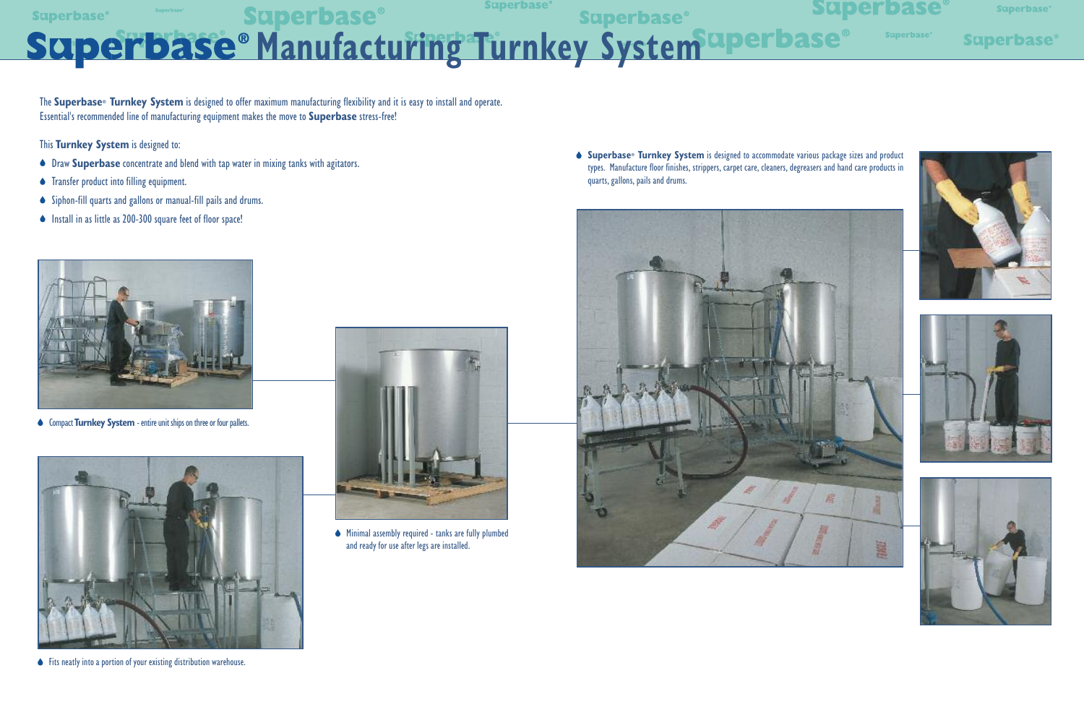**Superbase** Superbase Superbase Superbase Superbase Superbase Superbase Superbase Superbase Superbase Superbase

Minimal assembly required - tanks are fully plumbed and ready for use after legs are installed.

The **Superbase® Turnkey System** is designed to offer maximum manufacturing flexibility and it is easy to install and operate. Essential's recommended line of manufacturing equipment makes the move to **Superbase** stress-free!

This **Turnkey System** is designed to:

- Draw **Superbase** concentrate and blend with tap water in mixing tanks with agitators.
- **Transfer product into filling equipment.**
- Siphon-fill quarts and gallons or manual-fill pails and drums.
- Install in as little as 200-300 square feet of floor space!



♦ Compact **Turnkey System** - entire unit ships on three or four pallets.



Fits neatly into a portion of your existing distribution warehouse.



**Superbase® Turnkey System** is designed to accommodate various package sizes and product types. Manufacture floor finishes, strippers, carpet care, cleaners, degreasers and hand care products in quarts, gallons, pails and drums.



## **Superbase**<sup>®</sup>

**Superbase®** 

**Superbase®**